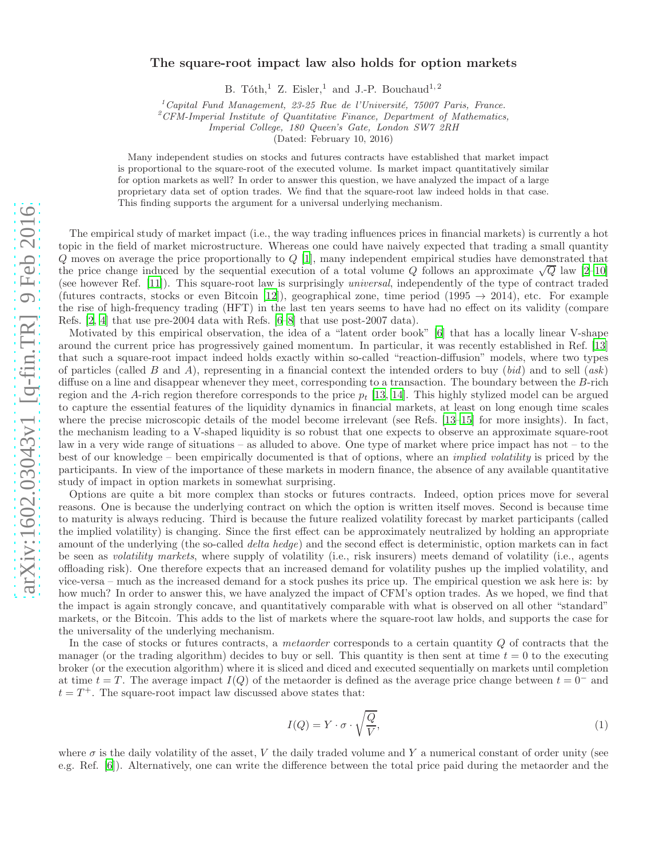## The square-root impact law also holds for option markets

B. Tóth,<sup>1</sup> Z. Eisler,<sup>1</sup> and J.-P. Bouchaud<sup>1,2</sup>

 $1^1$ Capital Fund Management, 23-25 Rue de l'Université, 75007 Paris, France.

 ${}^{2}CFM$ -Imperial Institute of Quantitative Finance, Department of Mathematics,

Imperial College, 180 Queen's Gate, London SW7 2RH

(Dated: February 10, 2016)

Many independent studies on stocks and futures contracts have established that market impact is proportional to the square-root of the executed volume. Is market impact quantitatively similar for option markets as well? In order to answer this question, we have analyzed the impact of a large proprietary data set of option trades. We find that the square-root law indeed holds in that case. This finding supports the argument for a universal underlying mechanism.

The empirical study of market impact (i.e., the way trading influences prices in financial markets) is currently a hot topic in the field of market microstructure. Whereas one could have naively expected that trading a small quantity Q moves on average the price proportionally to Q [\[1](#page-2-0)], many independent empirical studies have demonstrated that the price change induced by the sequential execution of a total volume Q follows an approximate  $\sqrt{Q}$  law [\[2](#page-2-1)[–10\]](#page-2-2) (see however Ref. [\[11](#page-2-3)]). This square-root law is surprisingly universal, independently of the type of contract traded (futures contracts, stocks or even Bitcoin [\[12\]](#page-2-4)), geographical zone, time period (1995  $\rightarrow$  2014), etc. For example the rise of high-frequency trading (HFT) in the last ten years seems to have had no effect on its validity (compare Refs. [\[2,](#page-2-1) [4\]](#page-2-5) that use pre-2004 data with Refs. [\[6](#page-2-6)[–8\]](#page-2-7) that use post-2007 data).

Motivated by this empirical observation, the idea of a "latent order book" [\[6\]](#page-2-6) that has a locally linear V-shape around the current price has progressively gained momentum. In particular, it was recently established in Ref. [\[13](#page-2-8)] that such a square-root impact indeed holds exactly within so-called "reaction-diffusion" models, where two types of particles (called B and A), representing in a financial context the intended orders to buy  $(bid)$  and to sell  $(ask)$ diffuse on a line and disappear whenever they meet, corresponding to a transaction. The boundary between the B-rich region and the A-rich region therefore corresponds to the price  $p_t$  [\[13](#page-2-8), [14](#page-2-9)]. This highly stylized model can be argued to capture the essential features of the liquidity dynamics in financial markets, at least on long enough time scales where the precise microscopic details of the model become irrelevant (see Refs. [\[13](#page-2-8)[–15\]](#page-2-10) for more insights). In fact, the mechanism leading to a V-shaped liquidity is so robust that one expects to observe an approximate square-root law in a very wide range of situations – as alluded to above. One type of market where price impact has not – to the best of our knowledge – been empirically documented is that of options, where an implied volatility is priced by the participants. In view of the importance of these markets in modern finance, the absence of any available quantitative study of impact in option markets in somewhat surprising.

Options are quite a bit more complex than stocks or futures contracts. Indeed, option prices move for several reasons. One is because the underlying contract on which the option is written itself moves. Second is because time to maturity is always reducing. Third is because the future realized volatility forecast by market participants (called the implied volatility) is changing. Since the first effect can be approximately neutralized by holding an appropriate amount of the underlying (the so-called *delta hedge*) and the second effect is deterministic, option markets can in fact be seen as volatility markets, where supply of volatility (i.e., risk insurers) meets demand of volatility (i.e., agents offloading risk). One therefore expects that an increased demand for volatility pushes up the implied volatility, and vice-versa – much as the increased demand for a stock pushes its price up. The empirical question we ask here is: by how much? In order to answer this, we have analyzed the impact of CFM's option trades. As we hoped, we find that the impact is again strongly concave, and quantitatively comparable with what is observed on all other "standard" markets, or the Bitcoin. This adds to the list of markets where the square-root law holds, and supports the case for the universality of the underlying mechanism.

In the case of stocks or futures contracts, a *metaorder* corresponds to a certain quantity  $Q$  of contracts that the manager (or the trading algorithm) decides to buy or sell. This quantity is then sent at time  $t = 0$  to the executing broker (or the execution algorithm) where it is sliced and diced and executed sequentially on markets until completion at time  $t = T$ . The average impact  $I(Q)$  of the metaorder is defined as the average price change between  $t = 0^-$  and  $t = T<sup>+</sup>$ . The square-root impact law discussed above states that:

$$
I(Q) = Y \cdot \sigma \cdot \sqrt{\frac{Q}{V}},\tag{1}
$$

where  $\sigma$  is the daily volatility of the asset, V the daily traded volume and Y a numerical constant of order unity (see e.g. Ref. [\[6](#page-2-6)]). Alternatively, one can write the difference between the total price paid during the metaorder and the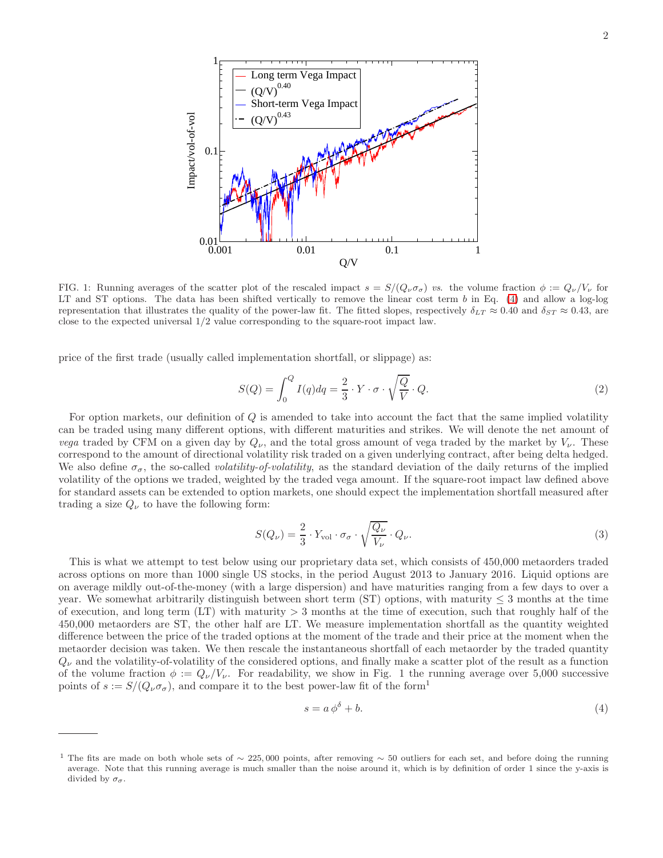

FIG. 1: Running averages of the scatter plot of the rescaled impact  $s = S/(Q_{\nu}\sigma_{\sigma})$  vs. the volume fraction  $\phi := Q_{\nu}/V_{\nu}$  for LT and ST options. The data has been shifted vertically to remove the linear cost term  $b$  in Eq. [\(4\)](#page-1-0) and allow a log-log representation that illustrates the quality of the power-law fit. The fitted slopes, respectively  $\delta_{LT} \approx 0.40$  and  $\delta_{ST} \approx 0.43$ , are close to the expected universal 1/2 value corresponding to the square-root impact law.

price of the first trade (usually called implementation shortfall, or slippage) as:

$$
S(Q) = \int_0^Q I(q) dq = \frac{2}{3} \cdot Y \cdot \sigma \cdot \sqrt{\frac{Q}{V}} \cdot Q.
$$
 (2)

For option markets, our definition of Q is amended to take into account the fact that the same implied volatility can be traded using many different options, with different maturities and strikes. We will denote the net amount of vega traded by CFM on a given day by  $Q_{\nu}$ , and the total gross amount of vega traded by the market by  $V_{\nu}$ . These correspond to the amount of directional volatility risk traded on a given underlying contract, after being delta hedged. We also define  $\sigma_{\sigma}$ , the so-called *volatility-of-volatility*, as the standard deviation of the daily returns of the implied volatility of the options we traded, weighted by the traded vega amount. If the square-root impact law defined above for standard assets can be extended to option markets, one should expect the implementation shortfall measured after trading a size  $Q_{\nu}$  to have the following form:

<span id="page-1-1"></span>
$$
S(Q_{\nu}) = \frac{2}{3} \cdot Y_{\text{vol}} \cdot \sigma_{\sigma} \cdot \sqrt{\frac{Q_{\nu}}{V_{\nu}}} \cdot Q_{\nu}.
$$
\n(3)

This is what we attempt to test below using our proprietary data set, which consists of 450,000 metaorders traded across options on more than 1000 single US stocks, in the period August 2013 to January 2016. Liquid options are on average mildly out-of-the-money (with a large dispersion) and have maturities ranging from a few days to over a year. We somewhat arbitrarily distinguish between short term (ST) options, with maturity  $\leq$  3 months at the time of execution, and long term  $(LT)$  with maturity  $> 3$  months at the time of execution, such that roughly half of the 450,000 metaorders are ST, the other half are LT. We measure implementation shortfall as the quantity weighted difference between the price of the traded options at the moment of the trade and their price at the moment when the metaorder decision was taken. We then rescale the instantaneous shortfall of each metaorder by the traded quantity  $Q_{\nu}$  and the volatility-of-volatility of the considered options, and finally make a scatter plot of the result as a function of the volume fraction  $\phi := Q_{\nu}/V_{\nu}$ . For readability, we show in Fig. 1 the running average over 5,000 successive points of  $s := S/(Q_{\nu} \sigma_{\sigma})$ , and compare it to the best power-law fit of the form<sup>1</sup>

<span id="page-1-0"></span>
$$
s = a\,\phi^{\delta} + b.\tag{4}
$$

<sup>&</sup>lt;sup>1</sup> The fits are made on both whole sets of ~ 225,000 points, after removing ~ 50 outliers for each set, and before doing the running average. Note that this running average is much smaller than the noise around it, which is by definition of order 1 since the y-axis is divided by  $\sigma_{\sigma}$ .